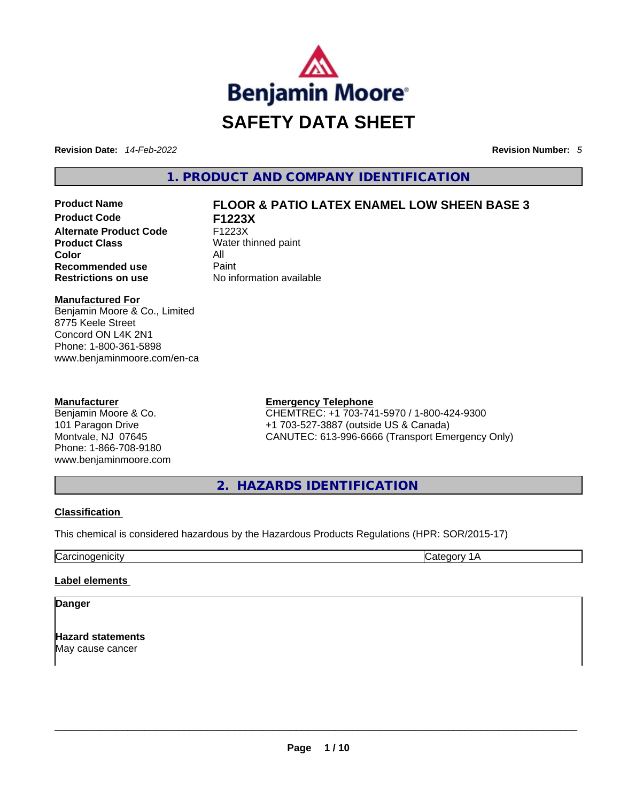

**Revision Date:** *14-Feb-2022* **Revision Number:** *5*

**1. PRODUCT AND COMPANY IDENTIFICATION** 

**Product Code F1223X Alternate Product Code** F1223X **Product Class** Water thinned paint **Color** All **Recommended use Paint Restrictions on use** No information available

# **Product Name FLOOR & PATIO LATEX ENAMEL LOW SHEEN BASE 3**

**Manufactured For**

Benjamin Moore & Co., Limited 8775 Keele Street Concord ON L4K 2N1 Phone: 1-800-361-5898 www.benjaminmoore.com/en-ca

# **Manufacturer**

Benjamin Moore & Co. 101 Paragon Drive Montvale, NJ 07645 Phone: 1-866-708-9180 www.benjaminmoore.com

# **Emergency Telephone**

CHEMTREC: +1 703-741-5970 / 1-800-424-9300 +1 703-527-3887 (outside US & Canada) CANUTEC: 613-996-6666 (Transport Emergency Only)

**2. HAZARDS IDENTIFICATION** 

# **Classification**

This chemical is considered hazardous by the Hazardous Products Regulations (HPR: SOR/2015-17)

Carcinogenicity Category 1A

# **Label elements**

**Danger** 

**Hazard statements** May cause cancer \_\_\_\_\_\_\_\_\_\_\_\_\_\_\_\_\_\_\_\_\_\_\_\_\_\_\_\_\_\_\_\_\_\_\_\_\_\_\_\_\_\_\_\_\_\_\_\_\_\_\_\_\_\_\_\_\_\_\_\_\_\_\_\_\_\_\_\_\_\_\_\_\_\_\_\_\_\_\_\_\_\_\_\_\_\_\_\_\_\_\_\_\_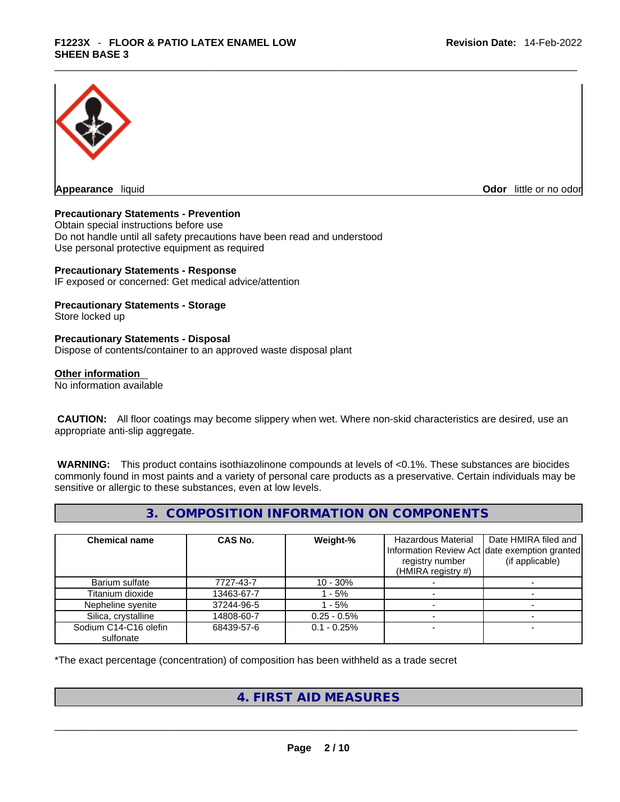

**Appearance** liquid

**Odor** little or no odor

# **Precautionary Statements - Prevention**

Obtain special instructions before use Do not handle until all safety precautions have been read and understood Use personal protective equipment as required

#### **Precautionary Statements - Response**

IF exposed or concerned: Get medical advice/attention

# **Precautionary Statements - Storage**

Store locked up

#### **Precautionary Statements - Disposal**

Dispose of contents/container to an approved waste disposal plant

#### **Other information**

No information available

 **CAUTION:** All floor coatings may become slippery when wet. Where non-skid characteristics are desired, use an appropriate anti-slip aggregate.

 **WARNING:** This product contains isothiazolinone compounds at levels of <0.1%. These substances are biocides commonly found in most paints and a variety of personal care products as a preservative. Certain individuals may be sensitive or allergic to these substances, even at low levels.

# **3. COMPOSITION INFORMATION ON COMPONENTS**

| <b>Chemical name</b>  | CAS No.    | Weight-%      | Hazardous Material<br>registry number<br>(HMIRA registry #) | Date HMIRA filed and<br>Information Review Act date exemption granted<br>(if applicable) |
|-----------------------|------------|---------------|-------------------------------------------------------------|------------------------------------------------------------------------------------------|
| Barium sulfate        | 7727-43-7  | $10 - 30%$    |                                                             |                                                                                          |
| Titanium dioxide      | 13463-67-7 | $-5%$         |                                                             |                                                                                          |
| Nepheline syenite     | 37244-96-5 | - 5%          |                                                             |                                                                                          |
| Silica, crystalline   | 14808-60-7 | $0.25 - 0.5%$ |                                                             |                                                                                          |
| Sodium C14-C16 olefin | 68439-57-6 | $0.1 - 0.25%$ |                                                             |                                                                                          |
| sulfonate             |            |               |                                                             |                                                                                          |

\*The exact percentage (concentration) of composition has been withheld as a trade secret

# **4. FIRST AID MEASURES**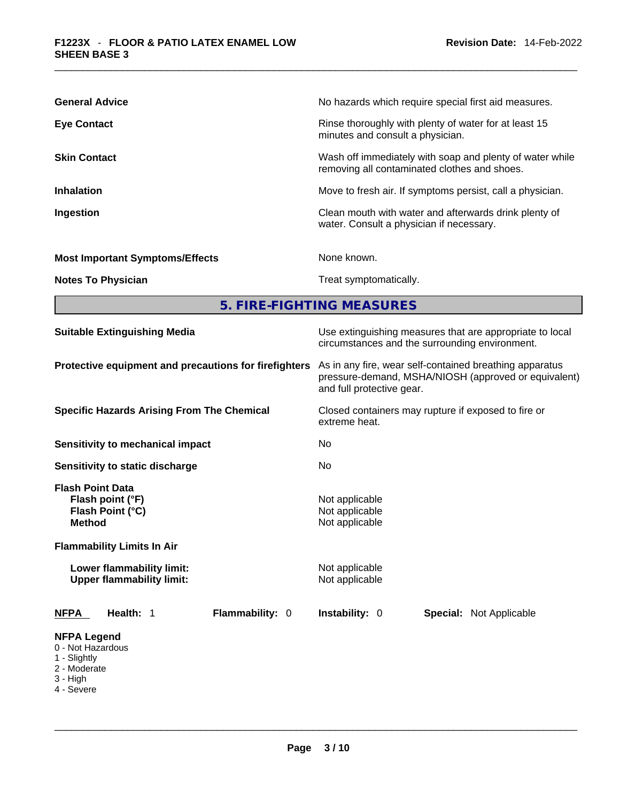| <b>General Advice</b>                  | No hazards which require special first aid measures.                                                     |
|----------------------------------------|----------------------------------------------------------------------------------------------------------|
| <b>Eye Contact</b>                     | Rinse thoroughly with plenty of water for at least 15<br>minutes and consult a physician.                |
| <b>Skin Contact</b>                    | Wash off immediately with soap and plenty of water while<br>removing all contaminated clothes and shoes. |
| <b>Inhalation</b>                      | Move to fresh air. If symptoms persist, call a physician.                                                |
| Ingestion                              | Clean mouth with water and afterwards drink plenty of<br>water. Consult a physician if necessary.        |
| <b>Most Important Symptoms/Effects</b> | None known.                                                                                              |
| <b>Notes To Physician</b>              | Treat symptomatically.                                                                                   |

**5. FIRE-FIGHTING MEASURES** 

| <b>Suitable Extinguishing Media</b>                                                                                   | Use extinguishing measures that are appropriate to local<br>circumstances and the surrounding environment.<br>As in any fire, wear self-contained breathing apparatus<br>pressure-demand, MSHA/NIOSH (approved or equivalent)<br>and full protective gear.<br>Closed containers may rupture if exposed to fire or<br>extreme heat. |  |  |  |  |
|-----------------------------------------------------------------------------------------------------------------------|------------------------------------------------------------------------------------------------------------------------------------------------------------------------------------------------------------------------------------------------------------------------------------------------------------------------------------|--|--|--|--|
| Protective equipment and precautions for firefighters                                                                 |                                                                                                                                                                                                                                                                                                                                    |  |  |  |  |
| <b>Specific Hazards Arising From The Chemical</b>                                                                     |                                                                                                                                                                                                                                                                                                                                    |  |  |  |  |
| Sensitivity to mechanical impact                                                                                      | No                                                                                                                                                                                                                                                                                                                                 |  |  |  |  |
| Sensitivity to static discharge                                                                                       | No                                                                                                                                                                                                                                                                                                                                 |  |  |  |  |
| <b>Flash Point Data</b><br>Flash point (°F)<br>Flash Point (°C)<br><b>Method</b><br><b>Flammability Limits In Air</b> | Not applicable<br>Not applicable<br>Not applicable                                                                                                                                                                                                                                                                                 |  |  |  |  |
| Lower flammability limit:<br><b>Upper flammability limit:</b>                                                         | Not applicable<br>Not applicable                                                                                                                                                                                                                                                                                                   |  |  |  |  |
| Flammability: 0<br><b>NFPA</b><br>Health: 1                                                                           | <b>Instability: 0</b><br><b>Special: Not Applicable</b>                                                                                                                                                                                                                                                                            |  |  |  |  |
| <b>NFPA Legend</b><br>0 - Not Hazardous<br>1 - Slightly<br>2 - Moderate<br>3 - High<br>4 - Severe                     |                                                                                                                                                                                                                                                                                                                                    |  |  |  |  |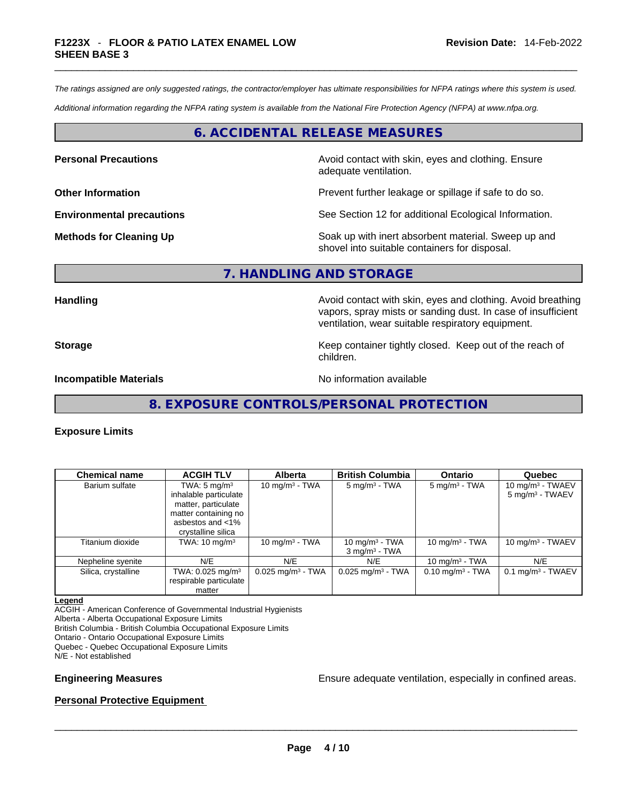*The ratings assigned are only suggested ratings, the contractor/employer has ultimate responsibilities for NFPA ratings where this system is used.* 

*Additional information regarding the NFPA rating system is available from the National Fire Protection Agency (NFPA) at www.nfpa.org.* 

# **6. ACCIDENTAL RELEASE MEASURES**

**Personal Precautions Avoid contact with skin, eyes and clothing. Ensure Personal Precautions** adequate ventilation.

**Other Information Department Information Department Information Prevent further leakage or spillage if safe to do so.** 

**Environmental precautions** See Section 12 for additional Ecological Information.

**Methods for Cleaning Up Example 20 Soak** up with inert absorbent material. Sweep up and shovel into suitable containers for disposal.

# **7. HANDLING AND STORAGE**

**Handling Handling Avoid contact with skin, eyes and clothing. Avoid breathing** vapors, spray mists or sanding dust. In case of insufficient ventilation, wear suitable respiratory equipment.

**Storage Storage Keep container tightly closed. Keep out of the reach of <b>Storage Keep** out of the reach of children.

**Incompatible Materials Incompatible Materials No information available** 

**8. EXPOSURE CONTROLS/PERSONAL PROTECTION** 

### **Exposure Limits**

| <b>Chemical name</b> | <b>ACGIH TLV</b>                                                   | <b>Alberta</b>                  | <b>British Columbia</b>                          | <b>Ontario</b>              | Quebec                                             |
|----------------------|--------------------------------------------------------------------|---------------------------------|--------------------------------------------------|-----------------------------|----------------------------------------------------|
| Barium sulfate       | TWA: $5 \text{ mg/m}^3$<br>inhalable particulate                   | 10 mg/m $3$ - TWA               | $5 \text{ mg/m}^3$ - TWA                         | $5 \text{ mg/m}^3$ - TWA    | 10 mg/m $3$ - TWAEV<br>5 mg/m <sup>3</sup> - TWAEV |
|                      | matter, particulate<br>matter containing no                        |                                 |                                                  |                             |                                                    |
|                      | asbestos and <1%<br>crystalline silica                             |                                 |                                                  |                             |                                                    |
| Titanium dioxide     | TWA: $10 \text{ mg/m}^3$                                           | 10 mg/m $3$ - TWA               | 10 mg/m $3$ - TWA<br>$3$ mg/m <sup>3</sup> - TWA | 10 mg/m $3$ - TWA           | 10 mg/m $3$ - TWAEV                                |
| Nepheline syenite    | N/E                                                                | N/E                             | N/E                                              | 10 mg/m $3$ - TWA           | N/E                                                |
| Silica, crystalline  | TWA: $0.025$ mg/m <sup>3</sup><br>respirable particulate<br>matter | $0.025$ mg/m <sup>3</sup> - TWA | $0.025$ mg/m <sup>3</sup> - TWA                  | $0.10 \text{ mg/m}^3$ - TWA | $0.1$ mg/m <sup>3</sup> - TWAEV                    |

#### **Legend**

ACGIH - American Conference of Governmental Industrial Hygienists Alberta - Alberta Occupational Exposure Limits British Columbia - British Columbia Occupational Exposure Limits Ontario - Ontario Occupational Exposure Limits Quebec - Quebec Occupational Exposure Limits

N/E - Not established

**Engineering Measures Ensure** Ensure adequate ventilation, especially in confined areas.

# **Personal Protective Equipment**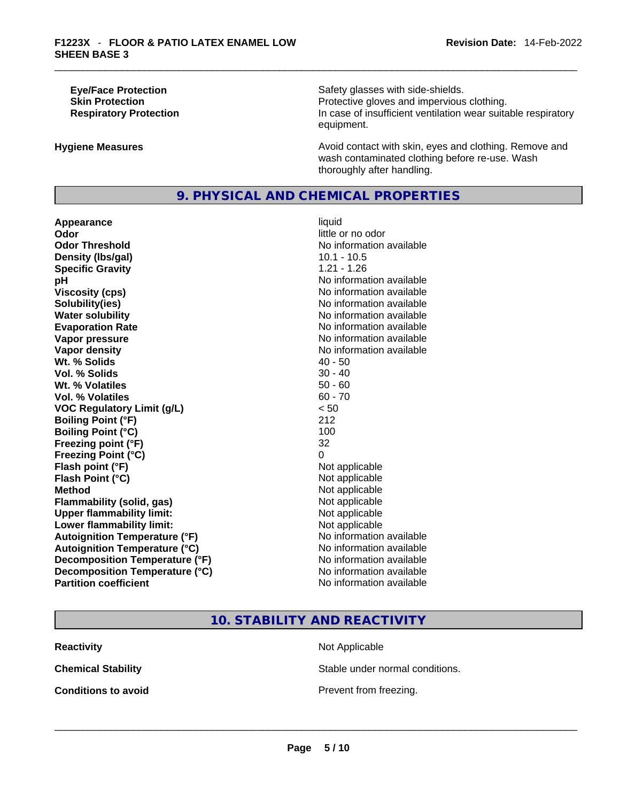**Eye/Face Protection Safety glasses with side-shields. Skin Protection Protection Protective gloves and impervious clothing. Respiratory Protection In case of insufficient ventilation wear suitable respiratory** equipment.

**Hygiene Measures Avoid contact with skin, eyes and clothing. Remove and Avoid contact with skin, eyes and clothing. Remove and Avoid contact with skin, eyes and clothing. Remove and** wash contaminated clothing before re-use. Wash thoroughly after handling.

# **9. PHYSICAL AND CHEMICAL PROPERTIES**

**Appearance** liquid **Odor**<br> **Odor Threshold**<br> **Odor Threshold**<br> **CODOR**<br> **CODOR**<br> **CODOR**<br> **CODOR**<br> **CODOR**<br> **CODOR**<br> **CODOR**<br> **CODOR**<br> **CODOR Density (lbs/gal)** 10.1 - 10.5 **Specific Gravity** 1.21 - 1.26 **pH bH** *pH* **Viscosity (cps) Viscosity (cps) No information available Solubility(ies)** No information available **Water solubility No information available No information available Evaporation Rate Note 2008 No information available Note 2008 No information available Vapor pressure No information available No information available Vapor density No information available No information available Wt. % Solids 10 - 50 - 40 - 50 - 40 - 40 - 50 - 40 - 50 - 40 - 50 - 40 - 50 - 40 - 50 - 40 - 50 - 40 - 50 - 40 Vol. % Solids Wt. % Volatiles** 50 - 60 **Vol. % Volatiles** 60 - 70 **VOC Regulatory Limit (g/L)** < 50 **Boiling Point (°F)** 212 **Boiling Point (°C)** 100 **Freezing point (°F)** 32 **Freezing Point (°C)** 0 **Flash point (°F)** Not applicable **Flash Point (°C)** Not applicable **Method Method Not applicable Container Method Container and Method Not applicable Container and Method Container and Method Flammability** (solid, gas) **Upper flammability limit:**<br> **Lower flammability limit:** Not applicable Not applicable **Lower flammability limit:**<br> **Autoignition Temperature (°F)** Not applicable have not available **Autoignition Temperature (°F) Autoignition Temperature (°C)** No information available **Decomposition Temperature (°F)** No information available **Decomposition Temperature (°C)** No information available **Partition coefficient** No information available

**No information available** 

**10. STABILITY AND REACTIVITY** 

**Reactivity Not Applicable Not Applicable** 

**Chemical Stability** Stable under normal conditions.

**Conditions to avoid**<br> **Example 2018**<br> **Conditions to avoid**<br> **Example 2018**<br> **Prevent from freezing.**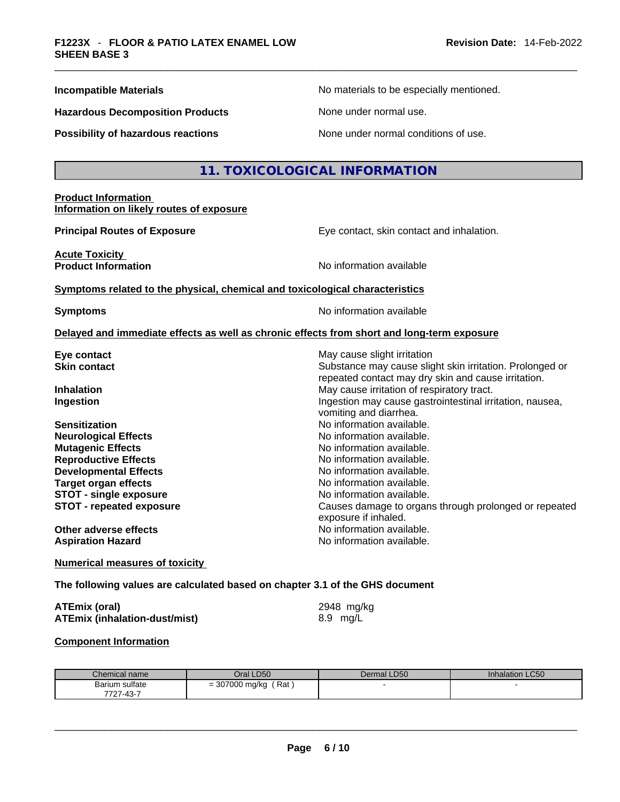| <b>Incompatible Materials</b> |
|-------------------------------|
|-------------------------------|

**Hazardous Decomposition Products** None under normal use.

No materials to be especially mentioned.

**Possibility of hazardous reactions** None under normal conditions of use.

# **11. TOXICOLOGICAL INFORMATION**

#### **Product Information Information on likely routes of exposure**

**Principal Routes of Exposure Exposure** Eye contact, skin contact and inhalation.

**Acute Toxicity Product Information Information No information available** 

**<u>Symptoms related to the physical, chemical and toxicological characteristics</u>** 

**Symptoms Symptoms No information available** 

vomiting and diarrhea.

exposure if inhaled.

**Aspiration Hazard** No information available.

repeated contact may dry skin and cause irritation.

#### **Delayed and immediate effects as well as chronic effects from short and long-term exposure**

**Eye contact** May cause slight irritation **Eye** contact **May cause slight irritation Skin contact Substance may cause slight skin irritation.** Prolonged or

**Inhalation Inhalation Inhalation May cause irritation of respiratory tract. Ingestion Ingestion Index is a structure of the line of the line of the line of the line of the line of the line of the line of the line of the line of the line of the line of the line of the line of the line of the l** 

**Sensitization No information available. No information available. Neurological Effects** Noinformation available. **Mutagenic Effects Mutagenic Effects No information available. Reproductive Effects No information available. Developmental Effects No information available.** No information available. **Target organ effects and all all and available.** No information available. **STOT** - single exposure **Notable** 2 and  $\overline{a}$  No information available. **STOT - repeated exposure** Causes damage to organs through prolonged or repeated

**Other adverse effects**<br> **Aspiration Hazard**<br> **Aspiration Hazard**<br> **Aspiration Azard**<br> **No information available.** 

**Numerical measures of toxicity**

**The following values are calculated based on chapter 3.1 of the GHS document**

| <b>ATEmix (oral)</b>                 | 2948 mg/kg |
|--------------------------------------|------------|
| <b>ATEmix (inhalation-dust/mist)</b> | 8.9 mg/L   |

### **Component Information**

| Chemical name                          | Oral LD50                        | Dermal LD50 | Inhalation LC50 |
|----------------------------------------|----------------------------------|-------------|-----------------|
| Barium sulfate                         | 307000 mg/kg<br>Rat<br>-<br>ו טט |             |                 |
| $\sqrt{2}$<br>7707<br>، -40 / ٬<br>ا ک |                                  |             |                 |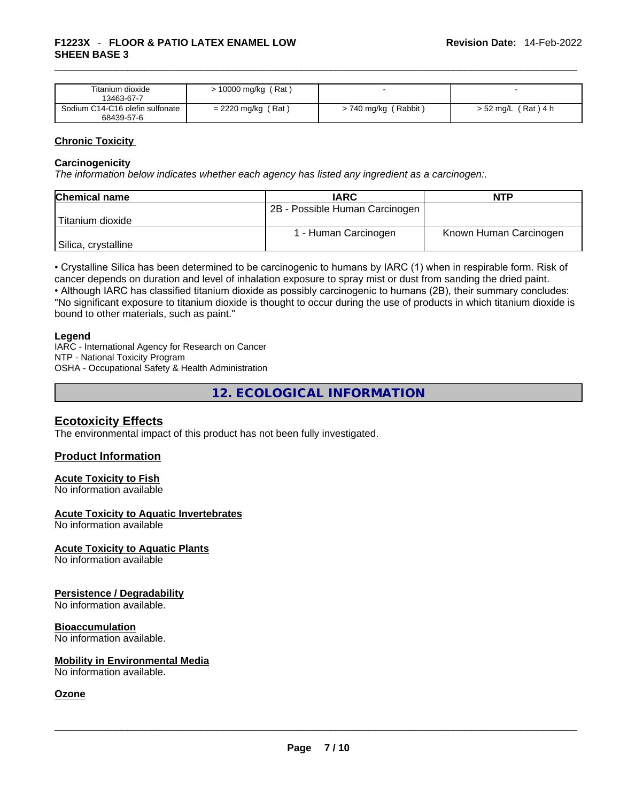| Titanium dioxide<br>13463-67-7                | $> 10000$ mg/kg (Rat) |                        |                       |
|-----------------------------------------------|-----------------------|------------------------|-----------------------|
| Sodium C14-C16 olefin sulfonate<br>68439-57-6 | $= 2220$ mg/kg (Rat)  | $> 740$ mg/kg (Rabbit) | $> 52$ mg/L (Rat) 4 h |

# **Chronic Toxicity**

#### **Carcinogenicity**

*The information below indicates whether each agency has listed any ingredient as a carcinogen:.* 

| <b>Chemical name</b> | <b>IARC</b>                    | <b>NTP</b>             |
|----------------------|--------------------------------|------------------------|
|                      | 2B - Possible Human Carcinogen |                        |
| Titanium dioxide     |                                |                        |
|                      | 1 - Human Carcinogen           | Known Human Carcinogen |
| Silica, crystalline  |                                |                        |

• Crystalline Silica has been determined to be carcinogenic to humans by IARC (1) when in respirable form. Risk of cancer depends on duration and level of inhalation exposure to spray mist or dust from sanding the dried paint.

• Although IARC has classified titanium dioxide as possibly carcinogenic to humans (2B), their summary concludes: "No significant exposure to titanium dioxide is thought to occur during the use of products in which titanium dioxide is bound to other materials, such as paint."

#### **Legend**

IARC - International Agency for Research on Cancer NTP - National Toxicity Program OSHA - Occupational Safety & Health Administration

**12. ECOLOGICAL INFORMATION** 

# **Ecotoxicity Effects**

The environmental impact of this product has not been fully investigated.

# **Product Information**

#### **Acute Toxicity to Fish**

No information available

#### **Acute Toxicity to Aquatic Invertebrates**

No information available

# **Acute Toxicity to Aquatic Plants**

No information available

### **Persistence / Degradability**

No information available.

#### **Bioaccumulation**

No information available.

# **Mobility in Environmental Media**

No information available. \_\_\_\_\_\_\_\_\_\_\_\_\_\_\_\_\_\_\_\_\_\_\_\_\_\_\_\_\_\_\_\_\_\_\_\_\_\_\_\_\_\_\_\_\_\_\_\_\_\_\_\_\_\_\_\_\_\_\_\_\_\_\_\_\_\_\_\_\_\_\_\_\_\_\_\_\_\_\_\_\_\_\_\_\_\_\_\_\_\_\_\_\_

# **Ozone**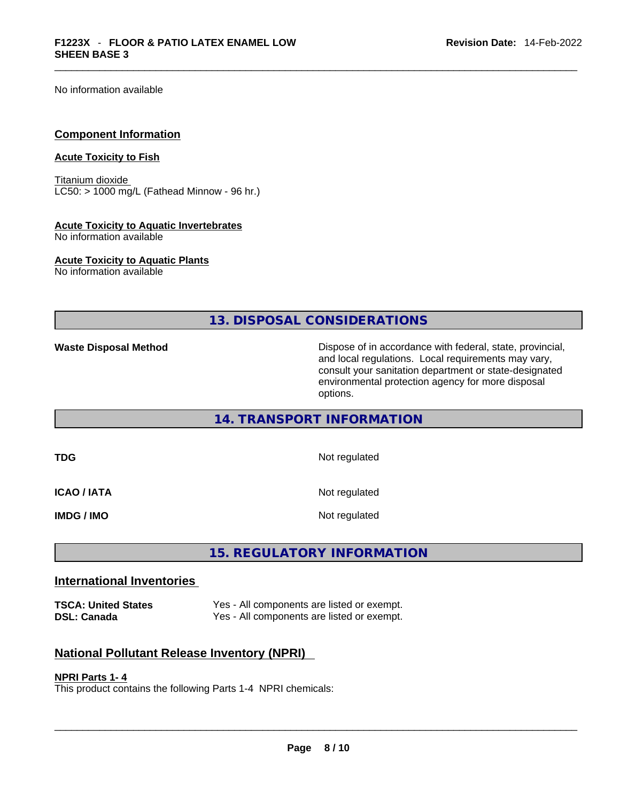No information available

#### **Component Information**

# **Acute Toxicity to Fish**

Titanium dioxide  $LC50:$  > 1000 mg/L (Fathead Minnow - 96 hr.)

#### **Acute Toxicity to Aquatic Invertebrates**

No information available

**Acute Toxicity to Aquatic Plants**

No information available

**13. DISPOSAL CONSIDERATIONS** 

**Waste Disposal Method** Dispose of in accordance with federal, state, provincial, and local regulations. Local requirements may vary, consult your sanitation department or state-designated environmental protection agency for more disposal options.

# **14. TRANSPORT INFORMATION**

**TDG** Not regulated

**ICAO / IATA** Not regulated

**IMDG / IMO Not regulated** 

# **15. REGULATORY INFORMATION**

# **International Inventories**

**TSCA: United States** Yes - All components are listed or exempt. **DSL: Canada** Yes - All components are listed or exempt.

# **National Pollutant Release Inventory (NPRI)**

#### **NPRI Parts 1- 4**

This product contains the following Parts 1-4 NPRI chemicals: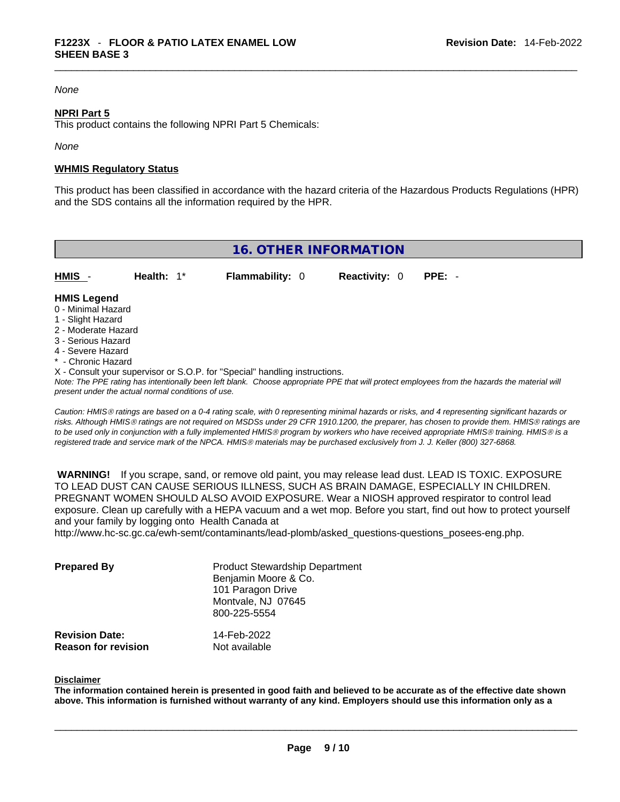# *None*

#### **NPRI Part 5**

This product contains the following NPRI Part 5 Chemicals:

*None*

#### **WHMIS Regulatory Status**

This product has been classified in accordance with the hazard criteria of the Hazardous Products Regulations (HPR) and the SDS contains all the information required by the HPR.

| <b>16. OTHER INFORMATION</b>                                                                                                                                                                                |               |                                                                                                                                                                                                                             |                      |          |  |
|-------------------------------------------------------------------------------------------------------------------------------------------------------------------------------------------------------------|---------------|-----------------------------------------------------------------------------------------------------------------------------------------------------------------------------------------------------------------------------|----------------------|----------|--|
| HMIS -                                                                                                                                                                                                      | Health: $1^*$ | <b>Flammability: 0</b>                                                                                                                                                                                                      | <b>Reactivity: 0</b> | $PPE: -$ |  |
| <b>HMIS Legend</b><br>0 - Minimal Hazard<br>1 - Slight Hazard<br>2 - Moderate Hazard<br>3 - Serious Hazard<br>4 - Severe Hazard<br>* - Chronic Hazard<br>present under the actual normal conditions of use. |               | X - Consult your supervisor or S.O.P. for "Special" handling instructions.<br>Note: The PPE rating has intentionally been left blank. Choose appropriate PPE that will protect employees from the hazards the material will |                      |          |  |

*Caution: HMISÒ ratings are based on a 0-4 rating scale, with 0 representing minimal hazards or risks, and 4 representing significant hazards or risks. Although HMISÒ ratings are not required on MSDSs under 29 CFR 1910.1200, the preparer, has chosen to provide them. HMISÒ ratings are to be used only in conjunction with a fully implemented HMISÒ program by workers who have received appropriate HMISÒ training. HMISÒ is a registered trade and service mark of the NPCA. HMISÒ materials may be purchased exclusively from J. J. Keller (800) 327-6868.* 

 **WARNING!** If you scrape, sand, or remove old paint, you may release lead dust. LEAD IS TOXIC. EXPOSURE TO LEAD DUST CAN CAUSE SERIOUS ILLNESS, SUCH AS BRAIN DAMAGE, ESPECIALLY IN CHILDREN. PREGNANT WOMEN SHOULD ALSO AVOID EXPOSURE.Wear a NIOSH approved respirator to control lead exposure. Clean up carefully with a HEPA vacuum and a wet mop. Before you start, find out how to protect yourself and your family by logging onto Health Canada at http://www.hc-sc.gc.ca/ewh-semt/contaminants/lead-plomb/asked\_questions-questions\_posees-eng.php.

| <b>Prepared By</b>    | <b>Product Stewardship Department</b><br>Benjamin Moore & Co.<br>101 Paragon Drive<br>Montvale, NJ 07645<br>800-225-5554 |
|-----------------------|--------------------------------------------------------------------------------------------------------------------------|
| <b>Revision Date:</b> | 14-Feb-2022                                                                                                              |

**Reason for revision** Not available

#### **Disclaimer**

The information contained herein is presented in good faith and believed to be accurate as of the effective date shown above. This information is furnished without warranty of any kind. Employers should use this information only as a